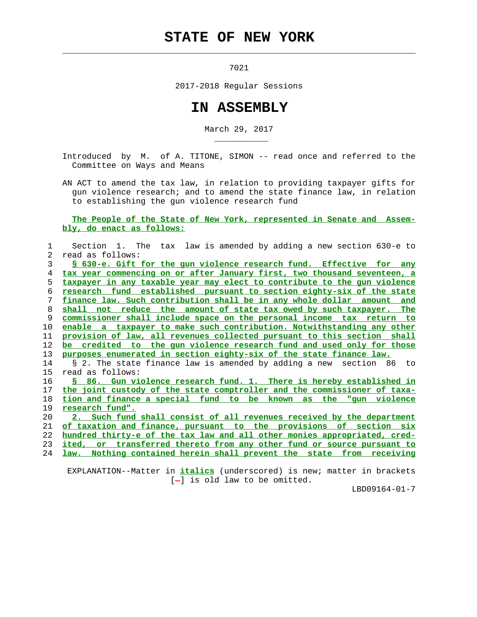## **STATE OF NEW YORK**

 $\mathcal{L}_\text{max} = \frac{1}{2} \sum_{i=1}^{n} \frac{1}{2} \sum_{i=1}^{n} \frac{1}{2} \sum_{i=1}^{n} \frac{1}{2} \sum_{i=1}^{n} \frac{1}{2} \sum_{i=1}^{n} \frac{1}{2} \sum_{i=1}^{n} \frac{1}{2} \sum_{i=1}^{n} \frac{1}{2} \sum_{i=1}^{n} \frac{1}{2} \sum_{i=1}^{n} \frac{1}{2} \sum_{i=1}^{n} \frac{1}{2} \sum_{i=1}^{n} \frac{1}{2} \sum_{i=1}^{n} \frac{1$ 

\_\_\_\_\_\_\_\_\_\_\_

7021

2017-2018 Regular Sessions

## **IN ASSEMBLY**

March 29, 2017

 Introduced by M. of A. TITONE, SIMON -- read once and referred to the Committee on Ways and Means

 AN ACT to amend the tax law, in relation to providing taxpayer gifts for gun violence research; and to amend the state finance law, in relation to establishing the gun violence research fund

 **The People of the State of New York, represented in Senate and Assem bly, do enact as follows:**

| 1  | Section 1. The tax law is amended by adding a new section 630-e to       |
|----|--------------------------------------------------------------------------|
| 2  | read as follows:                                                         |
| 3  | S 630-e. Gift for the qun violence research fund. Effective for any      |
| 4  | tax year commencing on or after January first, two thousand seventeen, a |
| 5. | taxpayer in any taxable year may elect to contribute to the qun violence |
| 6  | research fund established pursuant to section eighty-six of the state    |
| 7  | finance law. Such contribution shall be in any whole dollar amount and   |
| 8  | shall not reduce the amount of state tax owed by such taxpayer. The      |
| 9  | commissioner shall include space on the personal income tax return to    |
| 10 | enable a taxpayer to make such contribution. Notwithstanding any other   |
| 11 | provision of law, all revenues collected pursuant to this section shall  |
| 12 | be credited to the gun violence research fund and used only for those    |
| 13 | purposes enumerated in section eighty-six of the state finance law.      |
| 14 | § 2. The state finance law is amended by adding a new section 86 to      |
| 15 | read as follows:                                                         |
| 16 | § 86. Gun violence research fund. 1. There is hereby established in      |
| 17 | the joint custody of the state comptroller and the commissioner of taxa- |
| 18 | tion and finance a special fund to be known as the "qun violence         |
| 19 | research fund".                                                          |
| 20 | Such fund shall consist of all revenues received by the department<br>2. |
| 21 | of taxation and finance, pursuant to the provisions of section six       |
| 22 | hundred thirty-e of the tax law and all other monies appropriated, cred- |
| 23 | ited, or transferred thereto from any other fund or source pursuant to   |
| 24 | Nothing contained herein shall prevent the state from receiving<br>law.  |
|    |                                                                          |

 EXPLANATION--Matter in **italics** (underscored) is new; matter in brackets [-] is old law to be omitted.

LBD09164-01-7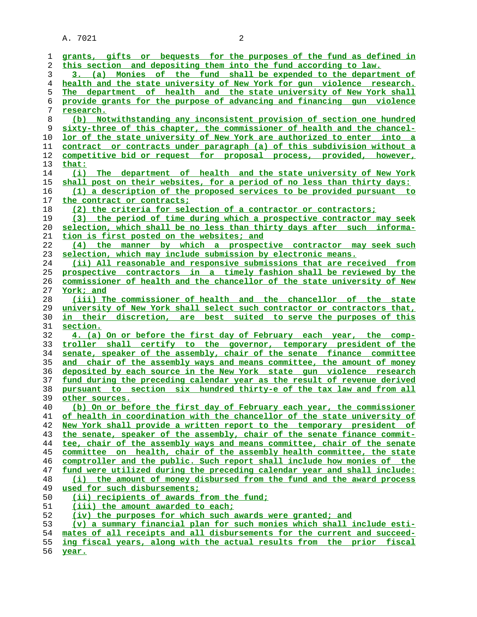A. 7021 2

| 1  | grants, gifts or bequests for the purposes of the fund as defined in     |
|----|--------------------------------------------------------------------------|
| 2  | this section and depositing them into the fund according to law.         |
| 3  | 3. (a) Monies of the fund shall be expended to the department of         |
|    | health and the state university of New York for qun violence research.   |
| 4  |                                                                          |
| 5  | The department of health and the state university of New York shall      |
| 6  | provide grants for the purpose of advancing and financing gun violence   |
| 7  | research.                                                                |
| 8  | (b) Notwithstanding any inconsistent provision of section one hundred    |
| 9  | sixty-three of this chapter, the commissioner of health and the chancel- |
| 10 | lor of the state university of New York are authorized to enter into a   |
| 11 | contract or contracts under paragraph (a) of this subdivision without a  |
| 12 | competitive bid or request for proposal process, provided, however,      |
| 13 | that:                                                                    |
| 14 | (i) The department of health and the state university of New York        |
| 15 | shall post on their websites, for a period of no less than thirty days:  |
| 16 | (1) a description of the proposed services to be provided pursuant to    |
| 17 | the contract or contracts;                                               |
| 18 | (2) the criteria for selection of a contractor or contractors;           |
| 19 | (3) the period of time during which a prospective contractor may seek    |
| 20 | selection, which shall be no less than thirty days after such informa-   |
| 21 | tion is first posted on the websites; and                                |
| 22 | (4) the manner by which a prospective contractor may seek such           |
| 23 | selection, which may include submission by electronic means.             |
| 24 | (ii) All reasonable and responsive submissions that are received from    |
| 25 | prospective contractors in a timely fashion shall be reviewed by the     |
| 26 | commissioner of health and the chancellor of the state university of New |
|    |                                                                          |
| 27 | York; and                                                                |
| 28 | (iii) The commissioner of health and the chancellor of the state         |
| 29 | university of New York shall select such contractor or contractors that, |
| 30 | in their discretion, are best suited to serve the purposes of this       |
| 31 | section.                                                                 |
| 32 | 4. (a) On or before the first day of February each year, the comp-       |
| 33 | troller shall certify to the governor, temporary president of the        |
| 34 | senate, speaker of the assembly, chair of the senate finance committee   |
| 35 | and chair of the assembly ways and means committee, the amount of money  |
| 36 | deposited by each source in the New York state qun violence research     |
| 37 | fund during the preceding calendar year as the result of revenue derived |
| 38 | pursuant to section six hundred thirty-e of the tax law and from all     |
| 39 | other sources.                                                           |
| 40 | (b) On or before the first day of February each year, the commissioner   |
| 41 | of health in coordination with the chancellor of the state university of |
| 42 | New York shall provide a written report to the temporary president of    |
| 43 | the senate, speaker of the assembly, chair of the senate finance commit- |
| 44 | tee, chair of the assembly ways and means committee, chair of the senate |
| 45 | committee on health, chair of the assembly health committee, the state   |
| 46 | comptroller and the public. Such report shall include how monies of the  |
| 47 | fund were utilized during the preceding calendar year and shall include: |
| 48 | (i) the amount of money disbursed from the fund and the award process    |
| 49 | used for such disbursements;                                             |
| 50 | (ii) recipients of awards from the fund;                                 |
| 51 | (iii) the amount awarded to each;                                        |
| 52 | (iv) the purposes for which such awards were granted; and                |
| 53 | (v) a summary financial plan for such monies which shall include esti-   |
| 54 | mates of all receipts and all disbursements for the current and succeed- |
| 55 | ing fiscal years, along with the actual results from the prior fiscal    |
| 56 | year.                                                                    |
|    |                                                                          |